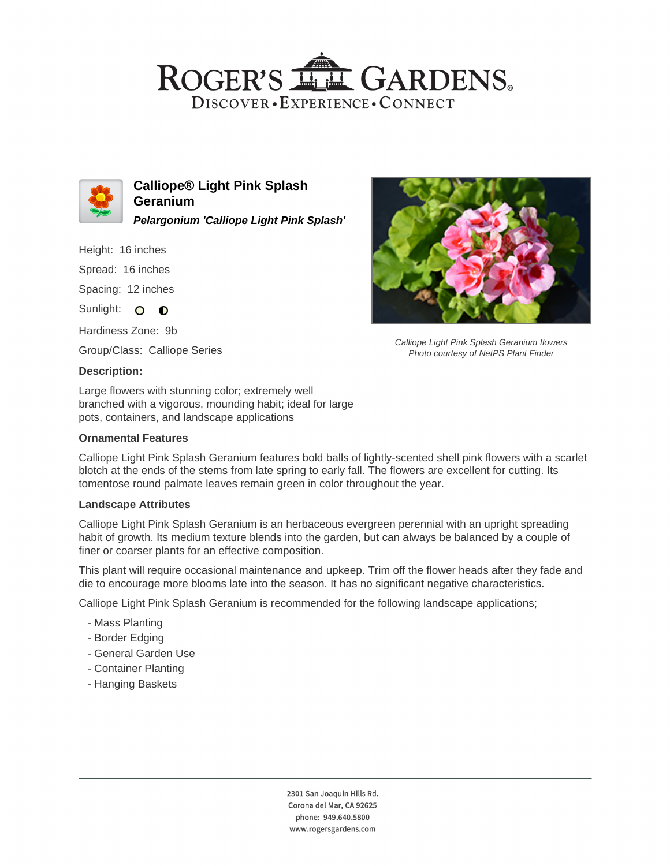# ROGER'S LL GARDENS. DISCOVER · EXPERIENCE · CONNECT



**Calliope® Light Pink Splash Geranium Pelargonium 'Calliope Light Pink Splash'**

Height: 16 inches

Spread: 16 inches

Spacing: 12 inches

Sunlight: O **O** 

Hardiness Zone: 9b

Group/Class: Calliope Series

#### **Description:**

Large flowers with stunning color; extremely well branched with a vigorous, mounding habit; ideal for large pots, containers, and landscape applications

### **Ornamental Features**



Calliope Light Pink Splash Geranium flowers Photo courtesy of NetPS Plant Finder

Calliope Light Pink Splash Geranium features bold balls of lightly-scented shell pink flowers with a scarlet blotch at the ends of the stems from late spring to early fall. The flowers are excellent for cutting. Its tomentose round palmate leaves remain green in color throughout the year.

#### **Landscape Attributes**

Calliope Light Pink Splash Geranium is an herbaceous evergreen perennial with an upright spreading habit of growth. Its medium texture blends into the garden, but can always be balanced by a couple of finer or coarser plants for an effective composition.

This plant will require occasional maintenance and upkeep. Trim off the flower heads after they fade and die to encourage more blooms late into the season. It has no significant negative characteristics.

Calliope Light Pink Splash Geranium is recommended for the following landscape applications;

- Mass Planting
- Border Edging
- General Garden Use
- Container Planting
- Hanging Baskets

2301 San Joaquin Hills Rd. Corona del Mar, CA 92625 phone: 949.640.5800 www.rogersgardens.com